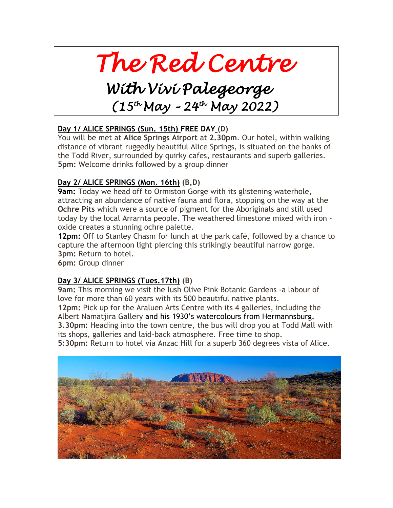# *The Red Centre*

## *With Vivi Palegeorge (15th May – 24th May 2022)*

#### **Day 1/ ALICE SPRINGS (Sun. 15th) FREE DAY (D)**

You will be met at **Alice Springs Airport** at **2.30pm**. Our hotel, within walking distance of vibrant ruggedly beautiful Alice Springs, is situated on the banks of the Todd River, surrounded by quirky cafes, restaurants and superb galleries. **5pm:** Welcome drinks followed by a group dinner

#### **Day 2/ ALICE SPRINGS (Mon. 16th) (B,D)**

**9am:** Today we head off to Ormiston Gorge with its glistening waterhole, attracting an abundance of native fauna and flora, stopping on the way at the **Ochre Pits** which were a source of pigment for the Aboriginals and still used today by the local Arrarnta people. The weathered limestone mixed with iron oxide creates a stunning ochre palette.

**12pm:** Off to Stanley Chasm for lunch at the park café, followed by a chance to capture the afternoon light piercing this strikingly beautiful narrow gorge. **3pm:** Return to hotel.

**6pm:** Group dinner

#### **Day 3/ ALICE SPRINGS (Tues.17th) (B)**

**9am:** This morning we visit the lush Olive Pink Botanic Gardens -a labour of love for more than 60 years with its 500 beautiful native plants. **12pm:** Pick up for the Araluen Arts Centre with its 4 galleries, including the Albert Namatjira Gallery and his 1930's watercolours from Hermannsburg. **3.30pm:** Heading into the town centre, the bus will drop you at Todd Mall with its shops, galleries and laid-back atmosphere. Free time to shop.

**5:30pm:** Return to hotel via Anzac Hill for a superb 360 degrees vista of Alice.

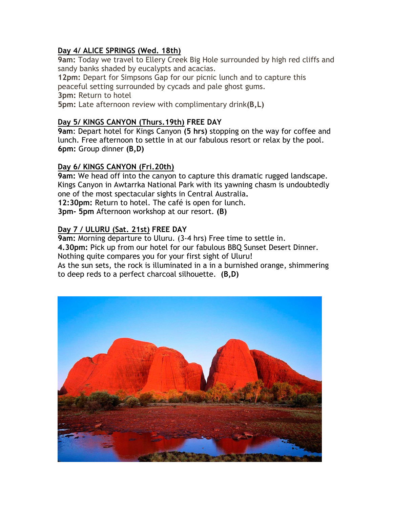#### **Day 4/ ALICE SPRINGS (Wed. 18th)**

**9am:** Today we travel to Ellery Creek Big Hole surrounded by high red cliffs and sandy banks shaded by eucalypts and acacias.

**12pm:** Depart for Simpsons Gap for our picnic lunch and to capture this peaceful setting surrounded by cycads and pale ghost gums.

**3pm:** Return to hotel

**5pm:** Late afternoon review with complimentary drink**(B,L)**

#### **Day 5/ KINGS CANYON (Thurs.19th) FREE DAY**

**9am**: Depart hotel for Kings Canyon **(5 hrs)** stopping on the way for coffee and lunch. Free afternoon to settle in at our fabulous resort or relax by the pool. **6pm:** Group dinner **(B,D)**

#### **Day 6/ KINGS CANYON (Fri.20th)**

**9am:** We head off into the canyon to capture this dramatic rugged landscape. Kings Canyon in Awtarrka National Park with its yawning chasm is undoubtedly one of the most spectacular sights in Central Australia**. 12:30pm:** Return to hotel. The café is open for lunch.

**3pm- 5pm** Afternoon workshop at our resort. **(B)**

#### **Day 7 / ULURU (Sat. 21st) FREE DAY**

**9am:** Morning departure to Uluru. (3-4 hrs) Free time to settle in. **4.30pm:** Pick up from our hotel for our fabulous BBQ Sunset Desert Dinner.

Nothing quite compares you for your first sight of Uluru!

As the sun sets, the rock is illuminated in a in a burnished orange, shimmering to deep reds to a perfect charcoal silhouette. **(B,D)**